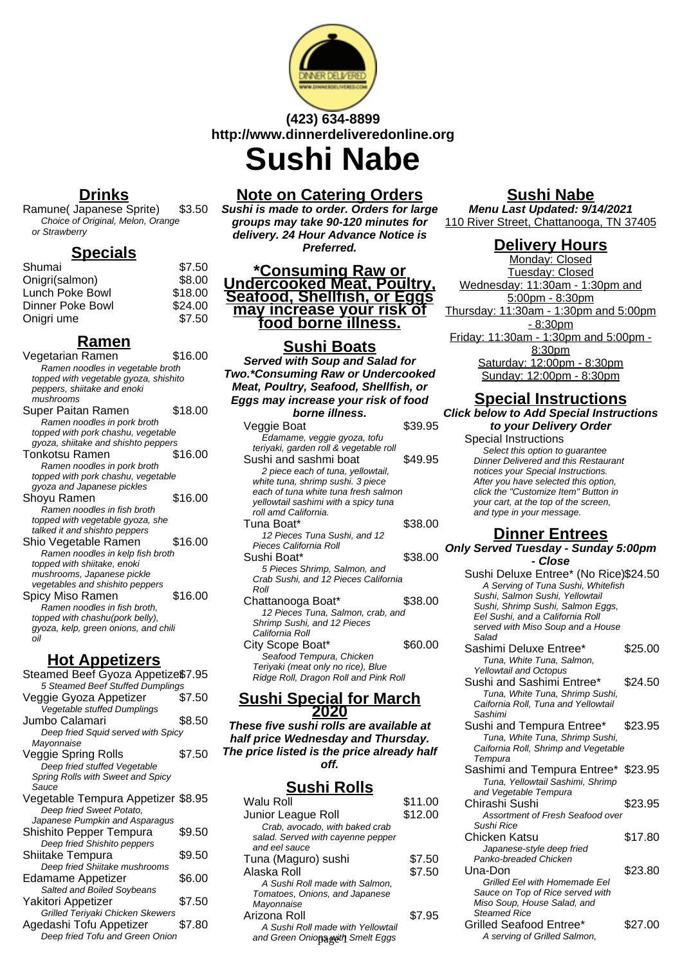

## **(423) 634-8899 http://www.dinnerdeliveredonline.org Sushi Nabe**

## **Drinks**

Ramune( Japanese Sprite) \$3.50 Choice of Original, Melon, Orange or Strawberry

## **Specials**

| Shumai           | \$7.50  |
|------------------|---------|
| Onigri(salmon)   | \$8.00  |
| Lunch Poke Bowl  | \$18.00 |
| Dinner Poke Bowl | \$24.00 |
| Onigri ume       | \$7.50  |

## **Ramen**

| Vegetarian Ramen                      | \$16.00 |
|---------------------------------------|---------|
| Ramen noodles in vegetable broth      |         |
| topped with vegetable gyoza, shishito |         |
| peppers, shiitake and enoki           |         |
| mushrooms                             |         |
| Super Paitan Ramen                    | \$18.00 |
| Ramen noodles in pork broth           |         |
| topped with pork chashu, vegetable    |         |
| gyoza, shiitake and shishto peppers   |         |
| Tonkotsu Ramen                        | \$16.00 |
| Ramen noodles in pork broth           |         |
| topped with pork chashu, vegetable    |         |
| gyoza and Japanese pickles            |         |
| Shoyu Ramen                           | \$16.00 |
| Ramen noodles in fish broth           |         |
| topped with vegetable gyoza, she      |         |
| talked it and shishto peppers         |         |
| Shio Vegetable Ramen                  | \$16.00 |
| Ramen noodles in kelp fish broth      |         |
| topped with shiitake, enoki           |         |
| mushrooms, Japanese pickle            |         |
| vegetables and shishito peppers       |         |
| Spicy Miso Ramen                      | \$16.00 |
| Ramen noodles in fish broth,          |         |
| topped with chashu(pork belly),       |         |
| gyoza, kelp, green onions, and chili  |         |
| oil                                   |         |
| nt Annetizei                          |         |
|                                       |         |

## **Hot Appetizers**

| Steamed Beef Gyoza Appetize\$7.95  |        |
|------------------------------------|--------|
| 5 Steamed Beef Stuffed Dumplings   |        |
| Veggie Gyoza Appetizer             | \$7.50 |
| Vegetable stuffed Dumplings        |        |
| Jumbo Calamari                     | \$8.50 |
| Deep fried Squid served with Spicy |        |
| Mayonnaise                         |        |
| Veggie Spring Rolls                | \$7.50 |
| Deep fried stuffed Vegetable       |        |
| Spring Rolls with Sweet and Spicy  |        |
| Sauce                              |        |
| Vegetable Tempura Appetizer \$8.95 |        |
| Deep fried Sweet Potato,           |        |
| Japanese Pumpkin and Asparagus     |        |
| Shishito Pepper Tempura            | \$9.50 |
| Deep fried Shishito peppers        |        |
| Shiitake Tempura                   | \$9.50 |
| Deep fried Shiitake mushrooms      |        |
| Edamame Appetizer                  | \$6.00 |
| Salted and Boiled Soybeans         |        |
| Yakitori Appetizer                 | \$7.50 |
| Grilled Teriyaki Chicken Skewers   |        |
| Agedashi Tofu Appetizer            | \$7.80 |
| Deep fried Tofu and Green Onion    |        |
|                                    |        |

## **Note on Catering Orders**

**Sushi is made to order. Orders for large groups may take 90-120 minutes for delivery. 24 Hour Advance Notice is Preferred.**

**\*Consuming Raw or Undercooked Meat, Poultry, Seafood, Shellfish, or Eggs may increase your risk of food borne illness.**

## **Sushi Boats**

**Served with Soup and Salad for Two.\*Consuming Raw or Undercooked Meat, Poultry, Seafood, Shellfish, or Eggs may increase your risk of food borne illness.** Veggie Boat \$39.95 Edamame, veggie gyoza, tofu teriyaki, garden roll & vegetable roll Sushi and sashmi boat \$49.95 2 piece each of tuna, yellowtail, white tuna, shrimp sushi. 3 piece each of tuna white tuna fresh salmon yellowtail sashimi with a spicy tuna roll amd California. Tuna Boat\* \$38.00 12 Pieces Tuna Sushi, and 12 Pieces California Roll Sushi Boat\* \$38.00 5 Pieces Shrimp, Salmon, and Crab Sushi, and 12 Pieces California Roll Chattanooga Boat\* \$38.00 12 Pieces Tuna, Salmon, crab, and Shrimp Sushi, and 12 Pieces California Roll City Scope Boat\* \$60.00 Seafood Tempura, Chicken Teriyaki (meat only no rice), Blue Ridge Roll, Dragon Roll and Pink Roll

#### **Sushi Special for March 2020**

**These five sushi rolls are available at half price Wednesday and Thursday. The price listed is the price already half off.**

## **Sushi Rolls**

| Walu Roll                         | \$11.00 |
|-----------------------------------|---------|
| Junior League Roll                | \$12.00 |
| Crab, avocado, with baked crab    |         |
| salad. Served with cayenne pepper |         |
| and eel sauce                     |         |
| Tuna (Maguro) sushi               | \$7.50  |
| Alaska Roll                       | \$7.50  |
| A Sushi Roll made with Salmon.    |         |
| Tomatoes, Onions, and Japanese    |         |
| Mayonnaise                        |         |
| Arizona Roll                      | \$7.95  |
| A Sushi Roll made with Yellowtail |         |
| and Green Oniona with Smelt Eggs  |         |
|                                   |         |

### **Sushi Nabe**

**Menu Last Updated: 9/14/2021** 110 River Street, Chattanooga, TN 37405

## **Delivery Hours**

Monday: Closed Tuesday: Closed Wednesday: 11:30am - 1:30pm and 5:00pm - 8:30pm Thursday: 11:30am - 1:30pm and 5:00pm - 8:30pm Friday: 11:30am - 1:30pm and 5:00pm - 8:30pm Saturday: 12:00pm - 8:30pm Sunday: 12:00pm - 8:30pm

## **Special Instructions**

**Click below to Add Special Instructions to your Delivery Order**

Special Instructions Select this option to quarantee Dinner Delivered and this Restaurant notices your Special Instructions. After you have selected this option, click the "Customize Item" Button in your cart, at the top of the screen, and type in your message.

### **Dinner Entrees**

**Only Served Tuesday - Sunday 5:00pm - Close**

| Sushi Deluxe Entree* (No Rice)\$24.50<br>A Serving of Tuna Sushi, Whitefish<br>Sushi, Salmon Sushi, Yellowtail<br>Sushi, Shrimp Sushi, Salmon Eggs,<br>Eel Sushi, and a California Roll<br>served with Miso Soup and a House<br>Salad |         |
|---------------------------------------------------------------------------------------------------------------------------------------------------------------------------------------------------------------------------------------|---------|
| Sashimi Deluxe Entree*<br>Tuna, White Tuna, Salmon,                                                                                                                                                                                   | \$25.00 |
| <b>Yellowtail and Octopus</b><br>Sushi and Sashimi Entree*<br>Tuna, White Tuna, Shrimp Sushi,<br>Caifornia Roll, Tuna and Yellowtail<br>Sashimi                                                                                       | \$24.50 |
| Sushi and Tempura Entree*<br>Tuna, White Tuna, Shrimp Sushi,<br>Caifornia Roll, Shrimp and Vegetable<br>Tempura                                                                                                                       | \$23.95 |
| Sashimi and Tempura Entree* \$23.95<br>Tuna, Yellowtail Sashimi, Shrimp<br>and Vegetable Tempura                                                                                                                                      |         |
| Chirashi Sushi<br>Assortment of Fresh Seafood over<br>Sushi Rice                                                                                                                                                                      | \$23.95 |
| Chicken Katsu<br>Japanese-style deep fried<br>Panko-breaded Chicken                                                                                                                                                                   | \$17.80 |
| Una-Don<br>Grilled Eel with Homemade Eel<br>Sauce on Top of Rice served with<br>Miso Soup, House Salad, and<br><b>Steamed Rice</b>                                                                                                    | \$23.80 |
| Grilled Seafood Entree*<br>A serving of Grilled Salmon,                                                                                                                                                                               | \$27.00 |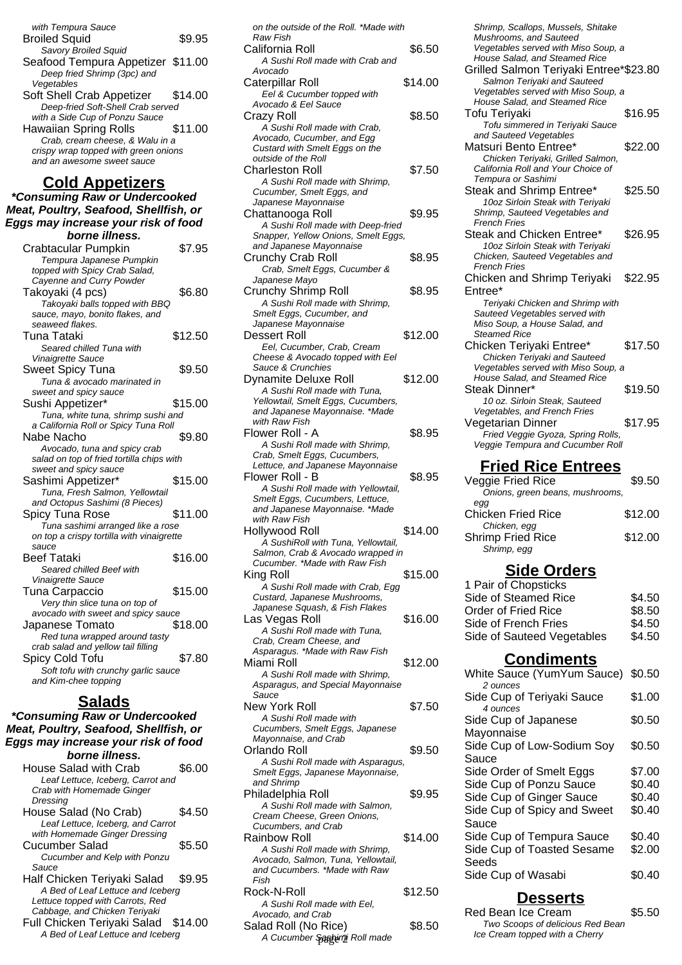| with Tempura Sauce                   |         |
|--------------------------------------|---------|
| <b>Broiled Squid</b>                 | \$9.95  |
| <b>Savory Broiled Squid</b>          |         |
| Seafood Tempura Appetizer \$11.00    |         |
| Deep fried Shrimp (3pc) and          |         |
| Vegetables                           |         |
| Soft Shell Crab Appetizer            | \$14.00 |
| Deep-fried Soft-Shell Crab served    |         |
| with a Side Cup of Ponzu Sauce       |         |
| Hawaiian Spring Rolls                | \$11.00 |
| Crab, cream cheese, & Walu in a      |         |
| crispy wrap topped with green onions |         |
| and an awesome sweet sauce           |         |
|                                      |         |

### **Cold Appetizers**

**\*Consuming Raw or Undercooked Meat, Poultry, Seafood, Shellfish, or Eggs may increase your risk of food borne illness.** Crabtacular Pumpkin \$7.95 Tempura Japanese Pumpkin topped with Spicy Crab Salad, Cayenne and Curry Powder Takoyaki (4 pcs) \$6.80 Takoyaki balls topped with BBQ sauce, mayo, bonito flakes, and seaweed flakes. Tuna Tataki  $$12.50$ Seared chilled Tuna with Vinaigrette Sauce Sweet Spicy Tuna \$9.50 Tuna & avocado marinated in sweet and spicy sauce Sushi Appetizer\* \$15.00 Tuna, white tuna, shrimp sushi and a California Roll or Spicy Tuna Roll Nabe Nacho  $\text{\$9.80}$ Avocado, tuna and spicy crab salad on top of fried tortilla chips with sweet and spicy sauce Sashimi Appetizer\* \$15.00 Tuna, Fresh Salmon, Yellowtail and Octopus Sashimi (8 Pieces) Spicy Tuna Rose \$11.00 Tuna sashimi arranged like a rose on top a crispy tortilla with vinaigrette sauce Beef Tataki \$16.00 Seared chilled Beef with Vinaigrette Sauce Tuna Carpaccio \$15.00 Very thin slice tuna on top of avocado with sweet and spicy sauce Japanese Tomato \$18.00 Red tuna wrapped around tasty crab salad and yellow tail filling Spicy Cold Tofu 57.80 Soft tofu with crunchy garlic sauce and Kim-chee topping **Salads**

**\*Consuming Raw or Undercooked Meat, Poultry, Seafood, Shellfish, or Eggs may increase your risk of food borne illness.** House Salad with Crab \$6.00 Leaf Lettuce, Iceberg, Carrot and Crab with Homemade Ginger **Dressing** House Salad (No Crab) \$4.50 Leaf Lettuce, Iceberg, and Carrot with Homemade Ginger Dressing Cucumber Salad \$5.50 Cucumber and Kelp with Ponzu Sauce Half Chicken Teriyaki Salad \$9.95 A Bed of Leaf Lettuce and Iceberg Lettuce topped with Carrots, Red Cabbage, and Chicken Teriyaki Full Chicken Teriyaki Salad \$14.00 A Bed of Leaf Lettuce and Iceberg

| on the outside of the Roll. *Made with<br>Raw Fish                                                                                                         |         |
|------------------------------------------------------------------------------------------------------------------------------------------------------------|---------|
| California Roll<br>A Sushi Roll made with Crab and                                                                                                         | \$6.50  |
| Avocado<br>Caterpillar Roll<br>Eel & Cucumber topped with                                                                                                  | \$14.00 |
| Avocado & Eel Sauce<br>Crazy Roll<br>A Sushi Roll made with Crab,                                                                                          | \$8.50  |
| Avocado, Cucumber, and Egg<br>Custard with Smelt Eggs on the<br>outside of the Roll<br>Charleston Roll                                                     | \$7.50  |
| A Sushi Roll made with Shrimp,<br>Cucumber, Smelt Eggs, and<br>Japanese Mayonnaise                                                                         |         |
| Chattanooga Roll<br>A Sushi Roll made with Deep-fried<br>Snapper, Yellow Onions, Smelt Eggs,<br>and Japanese Mayonnaise                                    | \$9.95  |
| Crunchy Crab Roll<br>Crab, Smelt Eggs, Cucumber &<br>Japanese Mayo                                                                                         | \$8.95  |
| Crunchy Shrimp Roll<br>A Sushi Roll made with Shrimp,<br>Smelt Eggs, Cucumber, and                                                                         | \$8.95  |
| Japanese Mayonnaise<br><b>Dessert Roll</b><br>Eel, Cucumber, Crab, Cream                                                                                   | \$12.00 |
| Cheese & Avocado topped with Eel<br>Sauce & Crunchies<br><b>Dynamite Deluxe Roll</b><br>A Sushi Roll made with Tuna,<br>Yellowtail, Smelt Eggs, Cucumbers, | \$12.00 |
| and Japanese Mayonnaise. *Made<br>with Raw Fish<br>Flower Roll - A<br>A Sushi Roll made with Shrimp<br>Crab, Smelt Eggs, Cucumbers,                        | \$8.95  |
| Lettuce, and Japanese Mayonnaise<br>Flower Roll - B<br>A Sushi Roll made with Yellowtail,<br>Smelt Eggs, Cucumbers, Lettuce,                               | \$8.95  |
| and Japanese Mayonnaise. *Made<br>with Raw Fish<br>Hollywood Roll<br>A SushiRoll with Tuna, Yellowtail,                                                    | \$14.00 |
| Salmon, Crab & Avocado wrapped in<br>Cucumber. *Made with Raw Fish<br>King Roll<br>A Sushi Roll made with Crab, Egg                                        | \$15.00 |
| Custard, Japanese Mushrooms,<br>Japanese Squash, & Fish Flakes<br>Las Vegas Roll<br>A Sushi Roll made with Tuna,                                           | \$16.00 |
| Crab, Cream Cheese, and<br>Asparagus. *Made with Raw Fish<br>Miami Roll<br>A Sushi Roll made with Shrimp.                                                  | \$12.00 |

Asparagus, and Special Mayonnaise **Sauce** New York Roll \$7.50 A Sushi Roll made with Cucumbers, Smelt Eggs, Japanese Mayonnaise, and Crab Orlando Roll \$9.50 A Sushi Roll made with Asparagus, Smelt Eggs, Japanese Mayonnaise, and Shrimp Philadelphia Roll \$9.95 A Sushi Roll made with Salmon, Cream Cheese, Green Onions, Cucumbers, and Crab Rainbow Roll \$14.00 A Sushi Roll made with Shrimp, Avocado, Salmon, Tuna, Yellowtail, and Cucumbers. \*Made with Raw Fish Rock-N-Roll \$12.50

| Rock-N-Roll<br>A Sushi Roll made with Eel. | \$12.50 | <b>Desserts</b>                                   |
|--------------------------------------------|---------|---------------------------------------------------|
| Avocado, and Crab<br>Salad Roll (No Rice)  | \$8.50  | Red Bean Ice Cream<br>Two Scoops of delicious Red |
| A Cucumber Sashimi Roll made               |         | Ice Cream topped with a Cherry                    |

Shrimp, Scallops, Mussels, Shitake Mushrooms, and Sauteed Vegetables served with Miso Soup, a House Salad, and Steamed Rice Grilled Salmon Teriyaki Entree\*\$23.80 Salmon Teriyaki and Sauteed Vegetables served with Miso Soup, a House Salad, and Steamed Rice Tofu Teriyaki \$16.95 Tofu simmered in Teriyaki Sauce and Sauteed Vegetables Matsuri Bento Entree\* \$22.00 Chicken Teriyaki, Grilled Salmon, California Roll and Your Choice of Tempura or Sashimi Steak and Shrimp Entree\* \$25.50 10oz Sirloin Steak with Teriyaki Shrimp, Sauteed Vegetables and French Fries Steak and Chicken Entree\* \$26.95 10oz Sirloin Steak with Teriyaki Chicken, Sauteed Vegetables and French Fries Chicken and Shrimp Teriyaki Entree\* \$22.95 Teriyaki Chicken and Shrimp with Sauteed Vegetables served with Miso Soup, a House Salad, and Steamed Rice Chicken Teriyaki Entree\* \$17.50 Chicken Teriyaki and Sauteed Vegetables served with Miso Soup, a House Salad, and Steamed Rice Steak Dinner\* \$19.50 10 oz. Sirloin Steak, Sauteed Vegetables, and French Fries Vegetarian Dinner \$17.95 *-*<br>Fried Veggie Gyoza, Spring Rolls, Veggie Tempura and Cucumber Roll

### **Fried Rice Entrees**

| Veggie Fried Rice               | \$9.50  |
|---------------------------------|---------|
| Onions, green beans, mushrooms, |         |
| egg                             |         |
| Chicken Fried Rice              | \$12.00 |
| Chicken, egg                    |         |
| <b>Shrimp Fried Rice</b>        | \$12.00 |
| Shrimp, egg                     |         |
|                                 |         |

## **Side Orders**

| 1 Pair of Chopsticks       |        |
|----------------------------|--------|
| Side of Steamed Rice       | \$4.50 |
| Order of Fried Rice        | \$8.50 |
| Side of French Fries       | \$4.50 |
| Side of Sauteed Vegetables | \$4.50 |
|                            |        |

## **Condiments**

| White Sauce (YumYum Sauce) \$0.50      |        |
|----------------------------------------|--------|
| 2 ounces<br>Side Cup of Teriyaki Sauce | \$1.00 |
| 4 ounces                               |        |
| Side Cup of Japanese                   | \$0.50 |
| Mayonnaise                             |        |
| Side Cup of Low-Sodium Soy             | \$0.50 |
| Sauce                                  |        |
| Side Order of Smelt Eggs               | \$7.00 |
| Side Cup of Ponzu Sauce                | \$0.40 |
| Side Cup of Ginger Sauce               | \$0.40 |
| Side Cup of Spicy and Sweet            | \$0.40 |
| Sauce                                  |        |
| Side Cup of Tempura Sauce              | \$0.40 |
| Side Cup of Toasted Sesame             | \$2.00 |
| Seeds                                  |        |
| Side Cup of Wasabi                     | \$0.40 |
|                                        |        |

## **Desserts**

| Red Bean Ice Cream               | \$5.50 |
|----------------------------------|--------|
| Two Scoops of delicious Red Bean |        |
| Ice Cream topped with a Cherry   |        |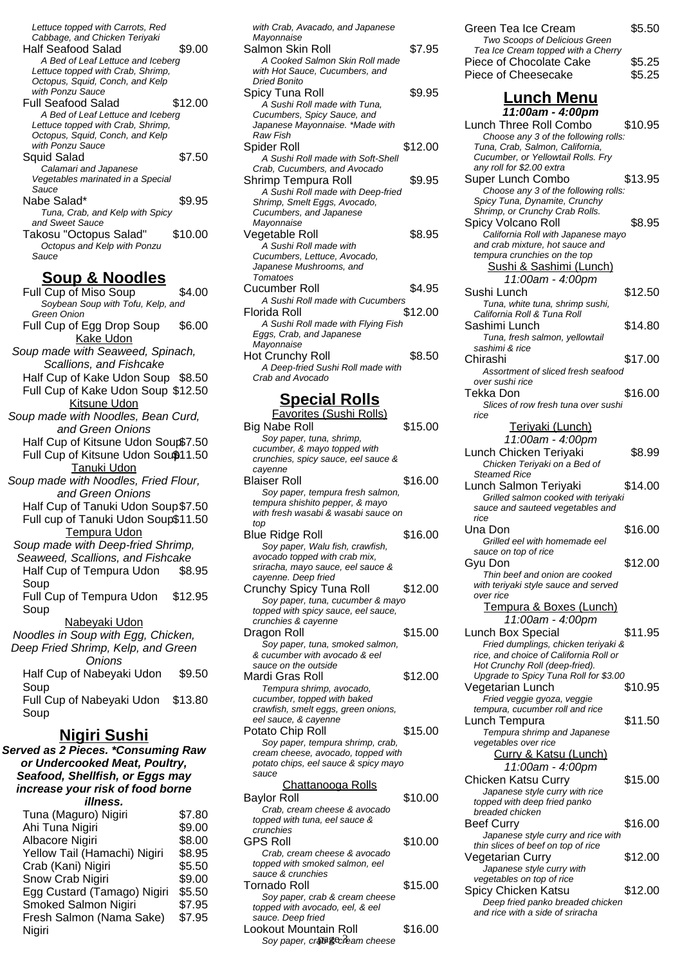Lettuce topped with Carrots, Red Cabbage, and Chicken Teriyaki Half Seafood Salad \$9.00 A Bed of Leaf Lettuce and Iceberg Lettuce topped with Crab, Shrimp, Octopus, Squid, Conch, and Kelp with Ponzu Sauce Full Seafood Salad \$12.00 A Bed of Leaf Lettuce and Iceberg Lettuce topped with Crab, Shrimp, Octopus, Squid, Conch, and Kelp with Ponzu Sauce Squid Salad \$7.50 Calamari and Japanese Vegetables marinated in a Special Sauce Nabe Salad\*  $$9.95$ Tuna, Crab, and Kelp with Spicy and Sweet Sauce Takosu "Octopus Salad" \$10.00 Octopus and Kelp with Ponzu Sauce

#### **Soup & Noodles**

Full Cup of Miso Soup \$4.00 Soybean Soup with Tofu, Kelp, and Green Onion Full Cup of Egg Drop Soup \$6.00 Kake Udon Soup made with Seaweed, Spinach, Scallions, and Fishcake Half Cup of Kake Udon Soup \$8.50 Full Cup of Kake Udon Soup \$12.50 Kitsune Udon Soup made with Noodles, Bean Curd, and Green Onions Half Cup of Kitsune Udon Soup\$7.50 Full Cup of Kitsune Udon Sou\$11.50 Tanuki Udon Soup made with Noodles, Fried Flour, and Green Onions Half Cup of Tanuki Udon Soup\$7.50 Full cup of Tanuki Udon Soup\$11.50 Tempura Udon Soup made with Deep-fried Shrimp, Seaweed, Scallions, and Fishcake Half Cup of Tempura Udon Soup \$8.95 Full Cup of Tempura Udon Soup \$12.95 Nabeyaki Udon Noodles in Soup with Egg, Chicken, Deep Fried Shrimp, Kelp, and Green Onions Half Cup of Nabeyaki Udon Soup \$9.50 Full Cup of Nabeyaki Udon \$13.80 Soup **Nigiri Sushi**

#### **Served as 2 Pieces. \*Consuming Raw or Undercooked Meat, Poultry, Seafood, Shellfish, or Eggs may increase your risk of food borne illness.**

| Tuna (Maguro) Nigiri         | \$7.80 |
|------------------------------|--------|
| Ahi Tuna Nigiri              | \$9.00 |
| Albacore Nigiri              | \$8.00 |
| Yellow Tail (Hamachi) Nigiri | \$8.95 |
| Crab (Kani) Nigiri           | \$5.50 |
| Snow Crab Nigiri             | \$9.00 |
| Egg Custard (Tamago) Nigiri  | \$5.50 |
| <b>Smoked Salmon Nigiri</b>  | \$7.95 |
| Fresh Salmon (Nama Sake)     | \$7.95 |
| Nigiri                       |        |
|                              |        |

| with Crab, Avacado, and Japanese<br>Mayonnaise |         |
|------------------------------------------------|---------|
| Salmon Skin Roll                               | \$7.95  |
| A Cooked Salmon Skin Roll made                 |         |
| with Hot Sauce, Cucumbers, and                 |         |
| <b>Dried Bonito</b>                            |         |
| Spicy Tuna Roll                                | \$9.95  |
| A Sushi Roll made with Tuna,                   |         |
| Cucumbers, Spicy Sauce, and                    |         |
| Japanese Mayonnaise. *Made with                |         |
| <b>Raw Fish</b>                                |         |
| Spider Roll                                    | \$12.00 |
| A Sushi Roll made with Soft-Shell              |         |
| Crab, Cucumbers, and Avocado                   |         |
| Shrimp Tempura Roll                            | \$9.95  |
| A Sushi Roll made with Deep-fried              |         |
| Shrimp, Smelt Eggs, Avocado,                   |         |
| Cucumbers, and Japanese                        |         |
| Mayonnaise                                     |         |
| Vegetable Roll                                 | \$8.95  |
| A Sushi Roll made with                         |         |
| Cucumbers, Lettuce, Avocado,                   |         |
| Japanese Mushrooms, and                        |         |
| Tomatoes                                       |         |
| Cucumber Roll                                  | \$4.95  |
| A Sushi Roll made with Cucumbers               |         |
| Florida Roll                                   | \$12.00 |
| A Sushi Roll made with Flying Fish             |         |
| Eggs, Crab, and Japanese                       |         |
| Mayonnaise                                     |         |
| Hot Crunchy Roll                               | \$8.50  |
| A Deep-fried Sushi Roll made with              |         |
| Crab and Avocado                               |         |
| Bannial Dalle                                  |         |

### **Special Rolls**

| , <b>.</b><br>.,<br>,,,                                     |         |
|-------------------------------------------------------------|---------|
| Favorites (Sushi Rolls)                                     |         |
| Big Nabe Roll                                               | \$15.00 |
| Soy paper, tuna, shrimp,                                    |         |
| cucumber, & mayo topped with                                |         |
| crunchies, spicy sauce, eel sauce &                         |         |
| cayenne                                                     |         |
| Blaiser Roll                                                | \$16.00 |
| Soy paper, tempura fresh salmon,                            |         |
| tempura shishito pepper, & mayo                             |         |
| with fresh wasabi & wasabi sauce on                         |         |
| top                                                         |         |
| Blue Ridge Roll                                             | \$16.00 |
| Soy paper, Walu fish, crawfish,                             |         |
| avocado topped with crab mix,                               |         |
| sriracha, mayo sauce, eel sauce &                           |         |
| cayenne. Deep fried                                         |         |
| Crunchy Spicy Tuna Roll                                     | \$12.00 |
| Soy paper, tuna, cucumber & mayo                            |         |
| topped with spicy sauce, eel sauce,                         |         |
| crunchies & cayenne                                         |         |
| Dragon Roll                                                 | \$15.00 |
| Soy paper, tuna, smoked salmon,                             |         |
| & cucumber with avocado & eel                               |         |
| sauce on the outside                                        |         |
| Mardi Gras Roll                                             | \$12.00 |
|                                                             |         |
| Tempura shrimp, avocado,                                    |         |
| cucumber, topped with baked                                 |         |
| crawfish, smelt eggs, green onions,<br>eel sauce, & cayenne |         |
|                                                             |         |
| Potato Chip Roll                                            | \$15.00 |
| Soy paper, tempura shrimp, crab,                            |         |
| cream cheese, avocado, topped with                          |         |
| potato chips, eel sauce & spicy mayo                        |         |
| sauce                                                       |         |
| Chattanooga Rolls                                           |         |
| <b>Baylor Roll</b>                                          | \$10.00 |
| Crab, cream cheese & avocado                                |         |
| topped with tuna, eel sauce &                               |         |
| crunchies                                                   |         |
| <b>GPS Roll</b>                                             | \$10.00 |
| Crab, cream cheese & avocado                                |         |
| topped with smoked salmon, eel                              |         |
| sauce & crunchies                                           |         |
| Tornado Roll                                                | \$15.00 |
| Soy paper, crab & cream cheese                              |         |
| topped with avocado, eel, & eel                             |         |
| sauce. Deep fried                                           |         |
| Lookout Mountain Roll                                       | \$16.00 |
| Soy paper, cra®&cream cheese                                |         |

| Green Tea Ice Cream                | \$5.50 |
|------------------------------------|--------|
| Two Scoops of Delicious Green      |        |
| Tea Ice Cream topped with a Cherry |        |
| Piece of Chocolate Cake            | \$5.25 |
| Piece of Cheesecake                | \$5.25 |

# **Lunch Menu**

**11:00am - 4:00pm** Lunch Three Roll Combo \$10.95 Choose any 3 of the following rolls: Tuna, Crab, Salmon, California, Cucumber, or Yellowtail Rolls. Fry any roll for \$2.00 extra Super Lunch Combo \$13.95 Choose any 3 of the following rolls: Spicy Tuna, Dynamite, Crunchy Shrimp, or Crunchy Crab Rolls. Spicy Volcano Roll \$8.95 California Roll with Japanese mayo and crab mixture, hot sauce and tempura crunchies on the top Sushi & Sashimi (Lunch) 11:00am - 4:00pm Sushi Lunch \$12.50 Tuna, white tuna, shrimp sushi, California Roll & Tuna Roll Sashimi Lunch \$14.80 Tuna, fresh salmon, yellowtail sashimi & rice Chirashi \$17.00 Assortment of sliced fresh seafood over sushi rice Tekka Don \$16.00 Slices of row fresh tuna over sushi rice Teriyaki (Lunch) 11:00am - 4:00pm Lunch Chicken Teriyaki \$8.99 Chicken Teriyaki on a Bed of Steamed Rice Lunch Salmon Terivaki \$14.00 Grilled salmon cooked with teriyaki sauce and sauteed vegetables and rice Una Don \$16.00 Grilled eel with homemade eel sauce on top of rice Gyu Don \$12.00 Thin beef and onion are cooked with teriyaki style sauce and served over rice Tempura & Boxes (Lunch) 11:00am - 4:00pm Lunch Box Special \$11.95 Fried dumplings, chicken teriyaki & rice, and choice of California Roll or Hot Crunchy Roll (deep-fried). Upgrade to Spicy Tuna Roll for \$3.00 Vegetarian Lunch \$10.95 Fried veggie gyoza, veggie tempura, cucumber roll and rice Lunch Tempura  $$11.50$ Tempura shrimp and Japanese vegetables over rice Curry & Katsu (Lunch) 11:00am - 4:00pm Chicken Katsu Curry \$15.00 Japanese style curry with rice topped with deep fried panko breaded chicken Beef Curry \$16.00 Japanese style curry and rice with thin slices of beef on top of rice Vegetarian Curry \$12.00 Japanese style curry with vegetables on top of rice Spicy Chicken Katsu \$12.00 Deep fried panko breaded chicken and rice with a side of sriracha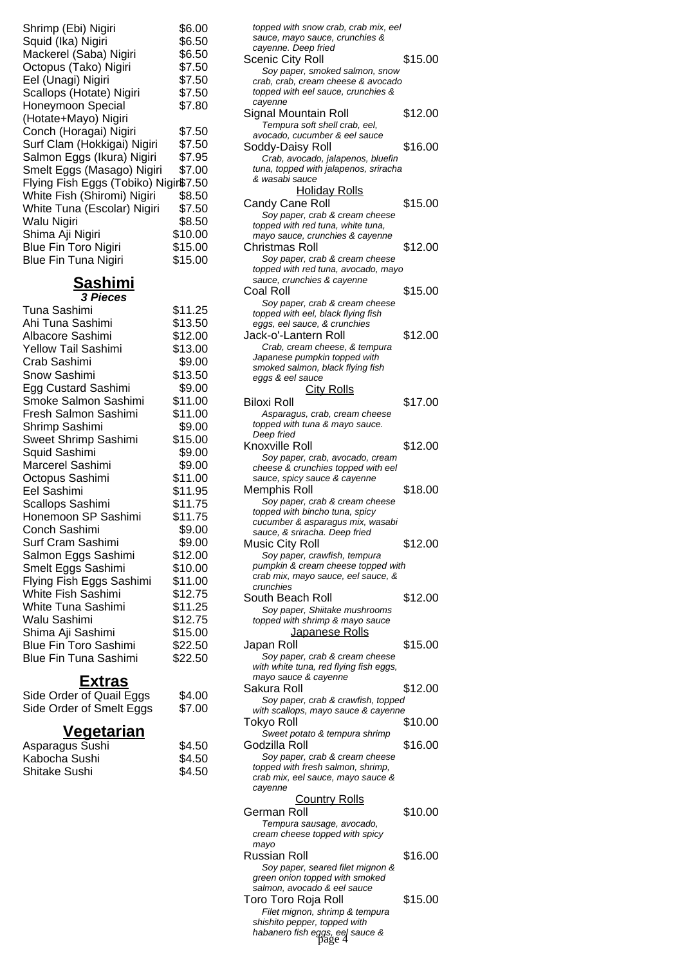| Shrimp (Ebi) Nigiri                   | \$6.00  |
|---------------------------------------|---------|
| Squid (Ika) Nigiri                    | \$6.50  |
| Mackerel (Saba) Nigiri                | \$6.50  |
| Octopus (Tako) Nigiri                 | \$7.50  |
| Eel (Unagi) Nigiri                    | \$7.50  |
| Scallops (Hotate) Nigiri              | \$7.50  |
| Honeymoon Special                     | \$7.80  |
| (Hotate+Mayo) Nigiri                  |         |
| Conch (Horagai) Nigiri                | \$7.50  |
| Surf Clam (Hokkigai) Nigiri           | \$7.50  |
| Salmon Eggs (Ikura) Nigiri            | \$7.95  |
| Smelt Eggs (Masago) Nigiri            | \$7.00  |
| Flying Fish Eggs (Tobiko) Nigir\$7.50 |         |
| White Fish (Shiromi) Nigiri           | \$8.50  |
| White Tuna (Escolar) Nigiri           | \$7.50  |
| Walu Nigiri                           | \$8.50  |
| Shima Aji Nigiri                      | \$10.00 |
| <b>Blue Fin Toro Nigiri</b>           | \$15.00 |
| <b>Blue Fin Tuna Nigiri</b>           | \$15.00 |
|                                       |         |

**Sashimi 3 Pieces**

| Tuna Sashimi                 | \$11.25 |
|------------------------------|---------|
| Ahi Tuna Sashimi             | \$13.50 |
| Albacore Sashimi             | \$12.00 |
| Yellow Tail Sashimi          | \$13.00 |
| Crab Sashimi                 | \$9.00  |
| Snow Sashimi                 | \$13.50 |
| Egg Custard Sashimi          | \$9.00  |
| Smoke Salmon Sashimi         | \$11.00 |
| Fresh Salmon Sashimi         | \$11.00 |
| Shrimp Sashimi               | \$9.00  |
| Sweet Shrimp Sashimi         | \$15.00 |
| Squid Sashimi                | \$9.00  |
| Marcerel Sashimi             | \$9.00  |
| Octopus Sashimi              | \$11.00 |
| Eel Sashimi                  | \$11.95 |
| Scallops Sashimi             | \$11.75 |
| Honemoon SP Sashimi          | \$11.75 |
| Conch Sashimi                | \$9.00  |
| Surf Cram Sashimi            | \$9.00  |
| Salmon Eggs Sashimi          | \$12.00 |
| Smelt Eggs Sashimi           | \$10.00 |
| Flying Fish Eggs Sashimi     | \$11.00 |
| White Fish Sashimi           | \$12.75 |
| White Tuna Sashimi           | \$11.25 |
| Walu Sashimi                 | \$12.75 |
| Shima Aji Sashimi            | \$15.00 |
| <b>Blue Fin Toro Sashimi</b> | \$22.50 |
| <b>Blue Fin Tuna Sashimi</b> | \$22.50 |
|                              |         |

## **Extras**

| Side Order of Quail Eggs | \$4.00 |
|--------------------------|--------|
| Side Order of Smelt Eggs | \$7.00 |

# **Vegetarian**

| Asparagus Sushi | \$4.50 |
|-----------------|--------|
| Kabocha Sushi   | \$4.50 |
| Shitake Sushi   | \$4.50 |

| topped with snow crab, crab mix, eel<br>sauce, mayo sauce, crunchies &                                           |         |
|------------------------------------------------------------------------------------------------------------------|---------|
| cayenne. Deep fried<br>Scenic City Roll                                                                          | \$15.00 |
| Soy paper, smoked salmon, snow<br>crab, crab, cream cheese & avocado                                             |         |
| topped with eel sauce, crunchies &<br>cayenne<br>Signal Mountain Roll                                            | \$12.00 |
| Tempura soft shell crab, eel,<br>avocado, cucumber & eel sauce                                                   |         |
| Soddy-Daisy Roll<br>Crab, avocado, jalapenos, bluefin<br>tuna, topped with jalapenos, sriracha<br>& wasabi sauce | \$16.00 |
| <u>Holiday Rolls</u>                                                                                             |         |
| Candy Cane Roll<br>Soy paper, crab & cream cheese<br>topped with red tuna, white tuna,                           | \$15.00 |
| mayo sauce, crunchies & cayenne<br>Christmas Roll                                                                | \$12.00 |
| Soy paper, crab & cream cheese<br>topped with red tuna, avocado, mayo<br>sauce, crunchies & cayenne              |         |
| Coal Roll                                                                                                        | \$15.00 |
| Soy paper, crab & cream cheese<br>topped with eel, black flying fish<br>eggs, eel sauce, & crunchies             |         |
| Jack-o'-Lantern Roll                                                                                             | \$12.00 |
| Crab, cream cheese, & tempura<br>Japanese pumpkin topped with                                                    |         |
| smoked salmon, black flying fish<br>eggs & eel sauce                                                             |         |
| <b>City Rolls</b>                                                                                                |         |
| <b>Biloxi Roll</b><br>Asparagus, crab, cream cheese                                                              | \$17.00 |
| topped with tuna & mayo sauce.                                                                                   |         |
| Deep fried<br>Knoxville Roll                                                                                     | \$12.00 |
| Soy paper, crab, avocado, cream<br>cheese & crunchies topped with eel                                            |         |
| sauce, spicy sauce & cayenne                                                                                     |         |
| Memphis Roll<br>Soy paper, crab & cream cheese                                                                   | \$18.00 |
| topped with bincho tuna, spicy<br>cucumber & asparagus mix, wasabi                                               |         |
| sauce, & sriracha. Deep fried<br><b>Music City Roll</b>                                                          | \$12.00 |
| Soy paper, crawfish, tempura<br>pumpkin & cream cheese topped with<br>crab mix, mayo sauce, eel sauce, &         |         |
| crunchies                                                                                                        |         |
| South Beach Roll<br>Soy paper, Shiitake mushrooms                                                                | \$12.00 |
| topped with shrimp & mayo sauce<br>Japanese Rolls                                                                |         |
| Japan Roll<br>Soy paper, crab & cream cheese                                                                     | \$15.00 |
| with white tuna, red flying fish eggs,                                                                           |         |
| mayo sauce & cayenne<br>Sakura Roll                                                                              | \$12.00 |
| Soy paper, crab & crawfish, topped<br>with scallops, mayo sauce & cayenne                                        |         |
| Tokyo Roll                                                                                                       | \$10.00 |
| Sweet potato & tempura shrimp<br>Godzilla Roll                                                                   | \$16.00 |
| Soy paper, crab & cream cheese                                                                                   |         |
| topped with fresh salmon, shrimp,<br>crab mix, eel sauce, mayo sauce &<br>cayenne                                |         |
| <b>Country Rolls</b><br>German Roll                                                                              |         |
| Tempura sausage, avocado,<br>cream cheese topped with spicy                                                      | \$10.00 |
| mayo<br>Russian Roll                                                                                             | \$16.00 |
| Soy paper, seared filet mignon &<br>green onion topped with smoked                                               |         |
| salmon, avocado & eel sauce<br>Toro Toro Roja Roll                                                               | \$15.00 |
| Filet mignon, shrimp & tempura<br>shishito pepper, topped with                                                   |         |
| habanero fish eggs, eel sauce &<br>page 4                                                                        |         |